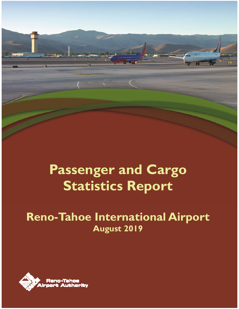# **Passenger and Cargo Statistics Report**

# **Reno-Tahoe International Airport August 2019**

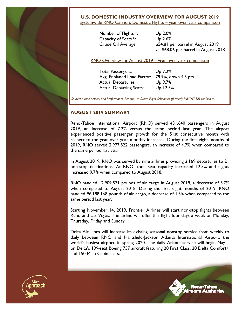

#### **U.S. DOMESTIC INDUSTRY OVERVIEW FOR AUGUST 2019**

Systemwide RNO Carriers Domestic Flights - year over year comparison

 Number of Flights \*: Up 2.0% Capacity of Seats \*: Up 2.6%

 Crude Oil Average: \$54.81 per barrel in August 2019 vs. \$68.06 per barrel in August 2018

RNO Overview for August 2019 – year over year comparison

 Total Passengers: Up 7.2% Avg. Enplaned Load Factor: 79.9%, down 4.3 pts. Actual Departures: Up 9.7% Actual Departing Seats: Up 12.5%

*Source: Airline Activity and Performance Reports; \* Cirium Flight Schedules (formerly INNOVATA) via Diio mi* 

#### **AUGUST 2019 SUMMARY**

Reno-Tahoe International Airport (RNO) served 431,640 passengers in August 2019, an increase of 7.2% versus the same period last year. The airport experienced positive passenger growth for the 51st consecutive month with respect to the year over year monthly increases. During the first eight months of 2019, RNO served 2,977,522 passengers, an increase of 4.7% when compared to the same period last year.

In August 2019, RNO was served by nine airlines providing 2,169 departures to 21 non-stop destinations. At RNO, total seat capacity increased 12.5% and flights increased 9.7% when compared to August 2018.

RNO handled 12,909,571 pounds of air cargo in August 2019, a decrease of 5.7% when compared to August 2018. During the first eight months of 2019, RNO handled 96,188,168 pounds of air cargo, a decrease of 1.3% when compared to the same period last year.

Starting November 14, 2019, Frontier Airlines will start non-stop flights between Reno and Las Vegas. The airline will offer this flight four days a week on Monday, Thursday, Friday and Sunday.

Delta Air Lines will increase its existing seasonal nonstop service from weekly to daily between RNO and Hartsfield-Jackson Atlanta International Airport, the world's busiest airport, in spring 2020. The daily Atlanta service will begin May 1 on Delta's 199-seat Boeing 757 aircraft featuring 20 First Class, 20 Delta Comfort+ and 150 Main Cabin seats.

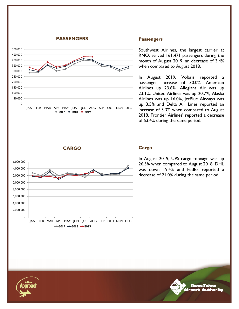#### **PASSENGERS**



#### **Passengers**

Southwest Airlines, the largest carrier at RNO, served 161,471 passengers during the month of August 2019, an decrease of 3.4% when compared to August 2018.

In August 2019, Volaris reported a passenger increase of 30.0%, American Airlines up 23.6%, Allegiant Air was up 23.1%, United Airlines was up 20.7%, Alaska Airlines was up 16.0%, JetBlue Airways was up 3.5% and Delta Air Lines reported an increase of 3.3% when compared to August 2018. Frontier Airlines' reported a decrease of 53.4% during the same period.

**CARGO** 



#### **Cargo**

In August 2019, UPS cargo tonnage was up 26.5% when compared to August 2018. DHL was down 19.4% and FedEx reported a decrease of 21.0% during the same period.

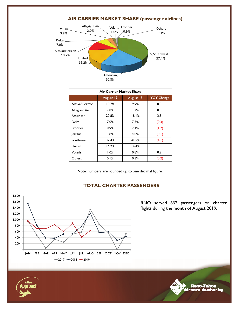

#### **AIR CARRIER MARKET SHARE (passenger airlines)**

| Air Carrier Market Share |           |           |                   |  |  |  |  |  |
|--------------------------|-----------|-----------|-------------------|--|--|--|--|--|
|                          | August-19 | August-18 | <b>YOY Change</b> |  |  |  |  |  |
| Alaska/Horizon           | 10.7%     | 9.9%      | 0.8               |  |  |  |  |  |
| Allegiant Air            | 2.0%      | 1.7%      | 0.3               |  |  |  |  |  |
| American                 | 20.8%     | 18.1%     | 2.8               |  |  |  |  |  |
| Delta                    | 7.0%      | 7.3%      | (0.3)             |  |  |  |  |  |
| Frontier                 | 0.9%      | 2.1%      | (1.2)             |  |  |  |  |  |
| <b>JetBlue</b>           | 3.8%      | 4.0%      | (0.1)             |  |  |  |  |  |
| Southwest                | 37.4%     | 41.5%     | (4.1)             |  |  |  |  |  |
| United                   | 16.2%     | 14.4%     | 1.8               |  |  |  |  |  |
| Volaris                  | 1.0%      | 0.8%      | 0.2               |  |  |  |  |  |
| Others                   | 0.1%      | 0.3%      | (0.2)             |  |  |  |  |  |

Note: numbers are rounded up to one decimal figure.



#### **TOTAL CHARTER PASSENGERS**

RNO served 632 passengers on charter flights during the month of August 2019.



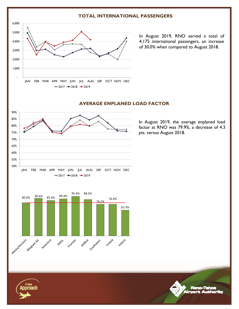#### **TOTAL INTERNATIONAL PASSENGERS**



In August 2019, RNO served a total of 4,175 international passengers, an increase of 30.0% when compared to August 2018.

# **AVERAGE ENPLANED LOAD FACTOR**







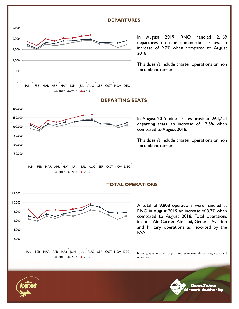#### **DEPARTURES**



In August 2019, RNO handled 2,169 departures on nine commercial airlines, an increase of 9.7% when compared to August 2018.

This doesn't include charter operations on non -incumbent carriers.



#### **DEPARTING SEATS**

In August 2019, nine airlines provided 264,724 departing seats, an increase of 12.5% when compared to August 2018.

This doesn't include charter operations on non -incumbent carriers.



#### **TOTAL OPERATIONS**

A total of 9,808 operations were handled at RNO in August 2019, an increase of 3.7% when compared to August 2018. Total operations include: Air Carrier, Air Taxi, General Aviation and Military operations as reported by the FAA.

Note: graphs on this page show scheduled departures, seats and operations

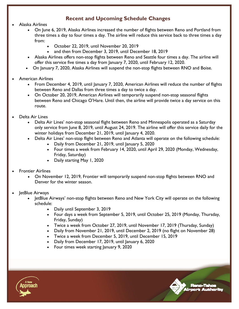### **Recent and Upcoming Schedule Changes**

- Alaska Airlines
	- On June 6, 2019, Alaska Airlines increased the number of flights between Reno and Portland from three times a day to four times a day. The airline will reduce this service back to three times a day from:
		- October 22, 2019, until November 20, 2019
		- and then from December 3, 2019, until December 18, 2019
	- Alaska Airlines offers non-stop flights between Reno and Seattle four times a day. The airline will offer this service five times a day from January 7, 2020, until February 12, 2020.
	- On January 7, 2020, Alaska Airlines will suspend the non-stop flights between RNO and Boise.
- American Airlines
	- From December 4, 2019, until January 7, 2020, American Airlines will reduce the number of flights between Reno and Dallas from three times a day to twice a day.
	- On October 20, 2019, American Airlines will temporarily suspend non-stop seasonal flights between Reno and Chicago O'Hare. Until then, the airline will provide twice a day service on this route.
- Delta Air Lines
	- Delta Air Lines' non-stop seasonal flight between Reno and Minneapolis operated as a Saturday only service from June 8, 2019, until August 24, 2019. The airline will offer this service daily for the winter holidays from December 21, 2019, until January 4, 2020.
	- Delta Air Lines' non-stop flight between Reno and Atlanta will operate on the following schedule:
		- Daily from December 21, 2019, until January 5, 2020
		- Four times a week from February 14, 2020, until April 29, 2020 (Monday, Wednesday, Friday, Saturday)
		- Daily starting May 1, 2020
- Frontier Airlines
	- On November 12, 2019, Frontier will temporarily suspend non-stop flights between RNO and Denver for the winter season.
- JetBlue Airways
	- JetBlue Airways' non-stop flights between Reno and New York City will operate on the following schedule:
		- Daily until September 3, 2019
		- Four days a week from September 5, 2019, until October 25, 2019 (Monday, Thursday, Friday, Sunday)
		- Twice a week from October 27, 2019, until November 17, 2019 (Thursday, Sunday)
		- Daily from November 21, 2019, until December 2, 2019 (no flight on November 28)
		- Twice a week from December 5, 2019, until December 15, 2019
		- Daily from December 17, 2019, until January 6, 2020
		- Four times week starting January 9, 2020

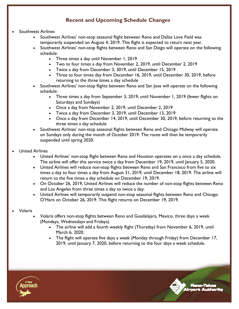## **Recent and Upcoming Schedule Changes**

- Southwest Airlines
	- Southwest Airlines' non-stop seasonal flight between Reno and Dallas Love Field was temporarily suspended on August 4, 2019. This flight is expected to return next year.
	- Southwest Airlines' non-stop flights between Reno and San Diego will operate on the following schedule:
		- Three times a day until November 1, 2019
		- Two to four times a day from November 2, 2019, until December 2, 2019
		- Twice a day from December 3, 3019, until December 15, 2019
		- Three to four times day from December 16, 2019, until December 30, 2019, before returning to the three times a day schedule
	- Southwest Airlines' non-stop flights between Reno and San Jose will operate on the following schedule:
		- Three times a day from September 3, 2019, until November 1, 2019 (fewer flights on Saturdays and Sundays)
		- Once a day from November 2, 2019, until December 2, 2019
		- Twice a day from December 3, 2019, until December 13, 2019
		- Once a day from December 14, 2019, until December 30, 2019, before returning to the three times a day schedule
	- Southwest Airlines' non-stop seasonal flights between Reno and Chicago Midway will operate on Sundays only during the month of October 2019. The route will then be temporarily suspended until spring 2020.
- United Airlines
	- United Airlines' non-stop flight between Reno and Houston operates on a once a day schedule. The airline will offer this service twice a day from December 19, 2019, until January 5, 2020.
	- United Airlines will reduce non-stop flights between Reno and San Francisco from five to six times a day to four times a day from August 31, 2019, until December 18, 2019. The airline will return to the five times a day schedule on December 19, 2019.
	- On October 26, 2019, United Airlines will reduce the number of non-stop flights between Reno and Los Angeles from three times a day to twice a day.
	- United Airlines will temporarily suspend non-stop seasonal flights between Reno and Chicago O'Hare on October 26, 2019. This flight returns on December 19, 2019.
- Volaris
	- Volaris offers non-stop flights between Reno and Guadalajara, Mexico, three days a week (Mondays, Wednesdays and Fridays).
		- The airline will add a fourth weekly flight (Thursday) from November 6, 2019, until March 6, 2020.
		- The flight will operate five days a week (Monday through Friday) from December 17, 2019, until January 7, 2020, before returning to the four days a week schedule.